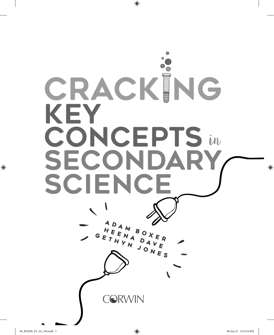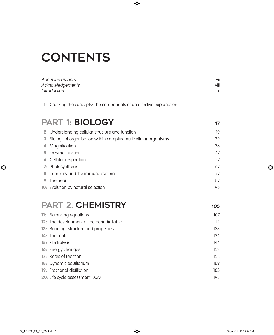## **CONTENTS**

| About the authors<br>Acknowledgements<br><b>Introduction</b>            | vii<br>viii<br>ix |
|-------------------------------------------------------------------------|-------------------|
| Cracking the concepts: The components of an effective explanation<br>1: | 1                 |
| <b>PART 1: BIOLOGY</b>                                                  | 17                |
| 2: Understanding cellular structure and function                        | 19                |
| 3: Biological organisation within complex multicellular organisms       | 29                |
| 4: Magnification                                                        | 38                |
| 5: Enzyme function                                                      | 47                |
| 6: Cellular respiration                                                 | 57                |
| 7: Photosynthesis                                                       | 67                |
| 8: Immunity and the immune system                                       | 77                |
| 9: The heart                                                            | 87                |
| 10: Evolution by natural selection                                      | 96                |
| <b>PART 2: CHEMISTRY</b>                                                | 105               |
| 11: Balancing equations                                                 | 107               |
| 12: The development of the periodic table                               | 114               |
| 13: Bonding, structure and properties                                   | 123               |
| 14: The mole                                                            | 134               |
| 15: Electrolysis                                                        | 144               |
| 16: Energy changes                                                      | 152               |
| 17: Rates of reaction                                                   | 158               |

 $\bigoplus$ 

**18:** Dynamic equilibrium 169 **19:** Fractional distillation 185 **20:** Life cycle assessment (LCA) 193

 $\bigoplus$ 

 $\bigoplus$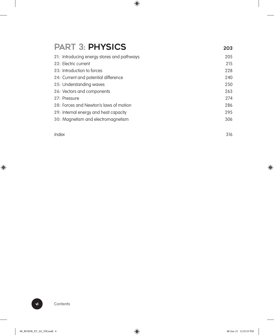## PART 3: PHYSICS 203

| 21: Introducing energy stores and pathways | 205 |
|--------------------------------------------|-----|
| 22: Electric current                       | 215 |
| 23: Introduction to forces                 | 228 |
| 24: Current and potential difference       | 240 |
| 25: Understanding waves                    | 250 |
| 26: Vectors and components                 | 263 |
| 27: Pressure                               | 274 |
| 28: Forces and Newton's laws of motion     | 286 |
| 29: Internal energy and heat capacity      | 295 |
| 30: Magnetism and electromagnetism         | 306 |
|                                            |     |

 $\bigoplus$ 

Index 316

 $\overline{\phantom{a}}$ 

 $\bigoplus$ 

 $\overline{\phantom{a}}$ 

 $\bigoplus$ 

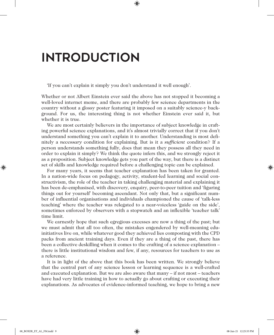## Introduction

'If you can't explain it simply you don't understand it well enough'.

Whether or not Albert Einstein ever said the above has not stopped it becoming a well-loved internet meme, and there are probably few science departments in the country without a glossy poster featuring it imposed on a suitably science-y background. For us, the interesting thing is not whether Einstein ever said it, but whether it is true.

⊕

We are most certainly believers in the importance of subject knowledge in crafting powerful science explanations, and it's almost trivially correct that if you don't understand something you can't explain it to another. Understanding is most definitely a *necessary* condition for explaining. But is it a *sufficient* condition? If a person understands something fully, does that mean they possess all they need in order to explain it simply? We think the quote infers this, and we strongly reject it as a proposition. Subject knowledge gets you part of the way, but there is a distinct set of skills and knowledge required before a challenging topic can be explained.

For many years, it seems that teacher explanation has been taken for granted. In a nation-wide focus on pedagogy, activity, student-led learning and social constructivism, the role of the teacher in taking challenging material and explaining it has been de-emphasised, with discovery, enquiry, peer-to-peer tuition and 'figuring things out for yourself' becoming ascendant. Not only that, but a significant number of influential organisations and individuals championed the cause of 'talk-less teaching' where the teacher was relegated to a near-voiceless 'guide on the side', sometimes enforced by observers with a stopwatch and an inflexible 'teacher talk' time limit.

We earnestly hope that such egregious excesses are now a thing of the past; but we must admit that all too often, the mistakes engendered by well-meaning eduinitiatives live on, while whatever good they achieved lies composting with the CPD packs from ancient training days. Even if they are a thing of the past, there has been a collective deskilling when it comes to the crafting of a science explanation – there is little institutional wisdom and few, if any, resources for teachers to use as a reference.

It is in light of the above that this book has been written. We strongly believe that the central part of any science lesson or learning sequence is a well-crafted and executed explanation. But we are also aware that many – if not most – teachers have had very little training in how to actually go about crafting or executing their explanations. As advocates of evidence-informed teaching, we hope to bring a new

⊕

⊕